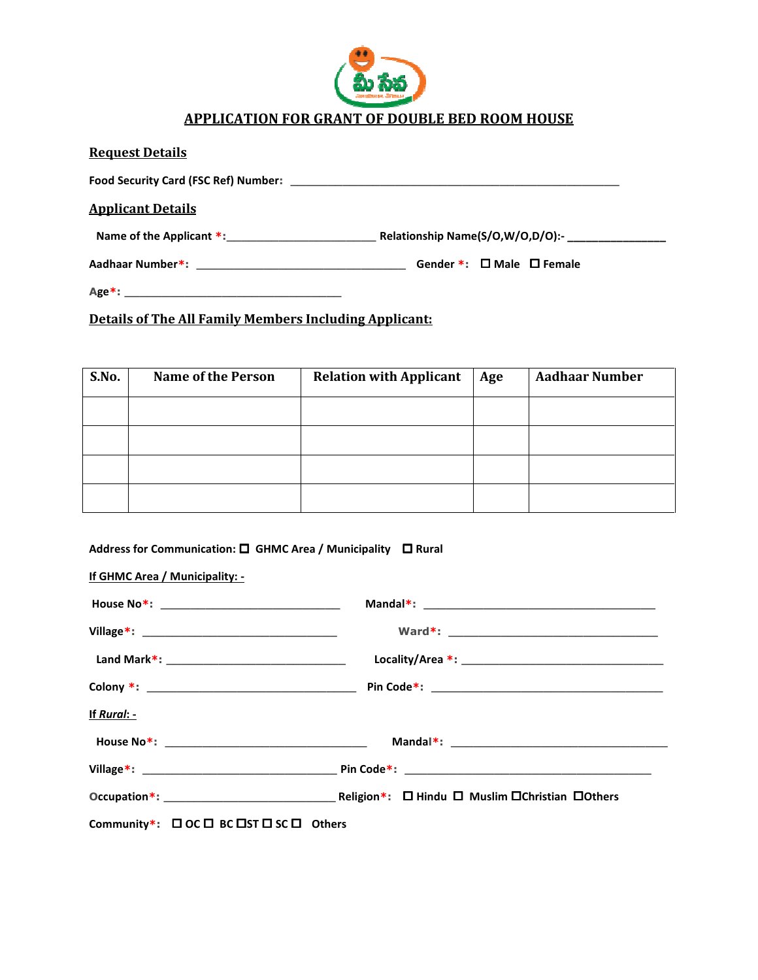

## APPLICATION FOR GRANT OF DOUBLE BED ROOM HOUSE

| <b>Request Details</b>                                                                                         |                                        |
|----------------------------------------------------------------------------------------------------------------|----------------------------------------|
| Food Security Card (FSC Ref) Number: Department of the Card Control of the Card Control of the Card Control of |                                        |
| <b>Applicant Details</b>                                                                                       |                                        |
| Name of the Applicant $*$ :                                                                                    | Relationship Name(S/O,W/O,D/O):-       |
|                                                                                                                | Gender $*$ : $\Box$ Male $\Box$ Female |
|                                                                                                                |                                        |

Details of The All Family Members Including Applicant:

| S.No. | <b>Name of the Person</b> | <b>Relation with Applicant</b> | Age | <b>Aadhaar Number</b> |
|-------|---------------------------|--------------------------------|-----|-----------------------|
|       |                           |                                |     |                       |
|       |                           |                                |     |                       |
|       |                           |                                |     |                       |
|       |                           |                                |     |                       |

Address for Communication:  $\square$  GHMC Area / Municipality  $\square$  Rural

| If GHMC Area / Municipality: -                                    |                                                                                                                                                                                                                                                                                                                                                                                                                                                                                            |
|-------------------------------------------------------------------|--------------------------------------------------------------------------------------------------------------------------------------------------------------------------------------------------------------------------------------------------------------------------------------------------------------------------------------------------------------------------------------------------------------------------------------------------------------------------------------------|
|                                                                   |                                                                                                                                                                                                                                                                                                                                                                                                                                                                                            |
|                                                                   |                                                                                                                                                                                                                                                                                                                                                                                                                                                                                            |
|                                                                   |                                                                                                                                                                                                                                                                                                                                                                                                                                                                                            |
|                                                                   |                                                                                                                                                                                                                                                                                                                                                                                                                                                                                            |
| <u>If Rural: -</u>                                                |                                                                                                                                                                                                                                                                                                                                                                                                                                                                                            |
|                                                                   | $\blacksquare$ $\blacksquare$ $\blacksquare$ $\blacksquare$ $\blacksquare$ $\blacksquare$ $\blacksquare$ $\blacksquare$ $\blacksquare$ $\blacksquare$ $\blacksquare$ $\blacksquare$ $\blacksquare$ $\blacksquare$ $\blacksquare$ $\blacksquare$ $\blacksquare$ $\blacksquare$ $\blacksquare$ $\blacksquare$ $\blacksquare$ $\blacksquare$ $\blacksquare$ $\blacksquare$ $\blacksquare$ $\blacksquare$ $\blacksquare$ $\blacksquare$ $\blacksquare$ $\blacksquare$ $\blacksquare$ $\blacks$ |
|                                                                   |                                                                                                                                                                                                                                                                                                                                                                                                                                                                                            |
|                                                                   |                                                                                                                                                                                                                                                                                                                                                                                                                                                                                            |
| Community*: $\Box$ OC $\Box$ BC $\Box$ ST $\Box$ SC $\Box$ Others |                                                                                                                                                                                                                                                                                                                                                                                                                                                                                            |